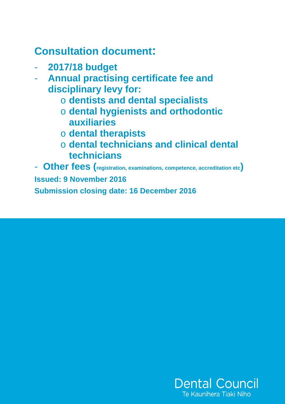# **Consultation document:**

- **2017/18 budget**
- **Annual practising certificate fee and disciplinary levy for:** 
	- o **dentists and dental specialists**
	- o **dental hygienists and orthodontic auxiliaries**
	- o **dental therapists**
	- o **dental technicians and clinical dental technicians**

- **Other fees (registration, examinations, competence, accreditation etc) Issued: 9 November 2016 Submission closing date: 16 December 2016** 

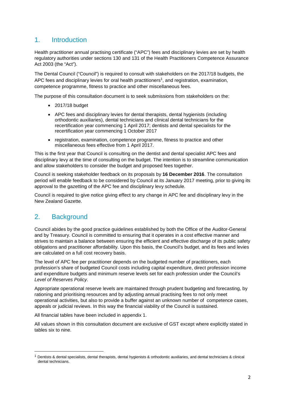## 1. Introduction

Health practitioner annual practising certificate ("APC") fees and disciplinary levies are set by health regulatory authorities under sections 130 and 131 of the Health Practitioners Competence Assurance Act 2003 (the "Act").

The Dental Council ("Council") is required to consult with stakeholders on the 2017/18 budgets, the APC fees and disciplinary levies for oral health practitioners<sup>1</sup>, and registration, examination, competence programme, fitness to practice and other miscellaneous fees.

The purpose of this consultation document is to seek submissions from stakeholders on the:

- 2017/18 budget
- APC fees and disciplinary levies for dental therapists, dental hygienists (including orthodontic auxiliaries), dental technicians and clinical dental technicians for the recertification year commencing 1 April 2017; dentists and dental specialists for the recertification year commencing 1 October 2017
- registration, examination, competence programme, fitness to practice and other miscellaneous fees effective from 1 April 2017.

This is the first year that Council is consulting on the dentist and dental specialist APC fees and disciplinary levy at the time of consulting on the budget. The intention is to streamline communication and allow stakeholders to consider the budget and proposed fees together.

Council is seeking stakeholder feedback on its proposals by **16 December 2016**. The consultation period will enable feedback to be considered by Council at its January 2017 meeting, prior to giving its approval to the gazetting of the APC fee and disciplinary levy schedule.

Council is required to give notice giving effect to any change in APC fee and disciplinary levy in the New Zealand Gazette.

## 2. Background

 $\overline{a}$ 

Council abides by the good practice guidelines established by both the Office of the Auditor-General and by Treasury. Council is committed to ensuring that it operates in a cost effective manner and strives to maintain a balance between ensuring the efficient and effective discharge of its public safety obligations and practitioner affordability. Upon this basis, the Council's budget, and its fees and levies are calculated on a full cost recovery basis.

The level of APC fee per practitioner depends on the budgeted number of practitioners, each profession's share of budgeted Council costs including capital expenditure, direct profession income and expenditure budgets and minimum reserve levels set for each profession under the Council's Level of Reserves Policy.

Appropriate operational reserve levels are maintained through prudent budgeting and forecasting, by rationing and prioritising resources and by adjusting annual practising fees to not only meet operational activities, but also to provide a buffer against an unknown number of competence cases, appeals or judicial reviews. In this way the financial viability of the Council is sustained.

All financial tables have been included in appendix 1.

All values shown in this consultation document are exclusive of GST except where explicitly stated in tables six to nine.

 $1$  Dentists & dental specialists, dental therapists, dental hygienists & orthodontic auxiliaries, and dental technicians & clinical dental technicians.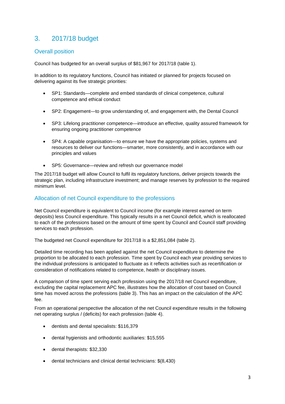## 3. 2017/18 budget

#### Overall position

Council has budgeted for an overall surplus of \$81,967 for 2017/18 (table 1).

In addition to its regulatory functions, Council has initiated or planned for projects focused on delivering against its five strategic priorities:

- SP1: Standards—complete and embed standards of clinical competence, cultural competence and ethical conduct
- SP2: Engagement—to grow understanding of, and engagement with, the Dental Council
- SP3: Lifelong practitioner competence—introduce an effective, quality assured framework for ensuring ongoing practitioner competence
- SP4: A capable organisation—to ensure we have the appropriate policies, systems and resources to deliver our functions—smarter, more consistently, and in accordance with our principles and values
- SP5: Governance—review and refresh our governance model

The 2017/18 budget will allow Council to fulfil its regulatory functions, deliver projects towards the strategic plan, including infrastructure investment; and manage reserves by profession to the required minimum level.

#### Allocation of net Council expenditure to the professions

Net Council expenditure is equivalent to Council income (for example interest earned on term deposits) less Council expenditure. This typically results in a net Council deficit, which is reallocated to each of the professions based on the amount of time spent by Council and Council staff providing services to each profession.

The budgeted net Council expenditure for 2017/18 is a \$2,851,084 (table 2).

Detailed time recording has been applied against the net Council expenditure to determine the proportion to be allocated to each profession. Time spent by Council each year providing services to the individual professions is anticipated to fluctuate as it reflects activities such as recertification or consideration of notifications related to competence, health or disciplinary issues.

A comparison of time spent serving each profession using the 2017/18 net Council expenditure, excluding the capital replacement APC fee, illustrates how the allocation of cost based on Council time has moved across the professions (table 3). This has an impact on the calculation of the APC fee.

From an operational perspective the allocation of the net Council expenditure results in the following net operating surplus / (deficits) for each profession (table 4).

- dentists and dental specialists: \$116,379
- dental hygienists and orthodontic auxiliaries: \$15,555
- dental therapists: \$32,330
- dental technicians and clinical dental technicians: \$(8,430)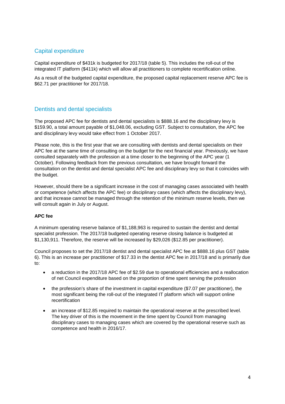### Capital expenditure

Capital expenditure of \$431k is budgeted for 2017/18 (table 5). This includes the roll-out of the integrated IT platform (\$411k) which will allow all practitioners to complete recertification online.

As a result of the budgeted capital expenditure, the proposed capital replacement reserve APC fee is \$62.71 per practitioner for 2017/18.

#### Dentists and dental specialists

The proposed APC fee for dentists and dental specialists is \$888.16 and the disciplinary levy is \$159.90, a total amount payable of \$1,048.06, excluding GST. Subject to consultation, the APC fee and disciplinary levy would take effect from 1 October 2017.

Please note, this is the first year that we are consulting with dentists and dental specialists on their APC fee at the same time of consulting on the budget for the next financial year. Previously, we have consulted separately with the profession at a time closer to the beginning of the APC year (1 October). Following feedback from the previous consultation, we have brought forward the consultation on the dentist and dental specialist APC fee and disciplinary levy so that it coincides with the budget.

However, should there be a significant increase in the cost of managing cases associated with health or competence (which affects the APC fee) or disciplinary cases (which affects the disciplinary levy), and that increase cannot be managed through the retention of the minimum reserve levels, then we will consult again in July or August.

#### **APC fee**

A minimum operating reserve balance of \$1,188,963 is required to sustain the dentist and dental specialist profession. The 2017/18 budgeted operating reserve closing balance is budgeted at \$1,130,911. Therefore, the reserve will be increased by \$29,026 (\$12.85 per practitioner).

Council proposes to set the 2017/18 dentist and dental specialist APC fee at \$888.16 plus GST (table 6). This is an increase per practitioner of \$17.33 in the dentist APC fee in 2017/18 and is primarily due to:

- a reduction in the 2017/18 APC fee of \$2.59 due to operational efficiencies and a reallocation of net Council expenditure based on the proportion of time spent serving the profession
- the profession's share of the investment in capital expenditure (\$7.07 per practitioner), the most significant being the roll-out of the integrated IT platform which will support online recertification
- an increase of \$12.85 required to maintain the operational reserve at the prescribed level. The key driver of this is the movement in the time spent by Council from managing disciplinary cases to managing cases which are covered by the operational reserve such as competence and health in 2016/17.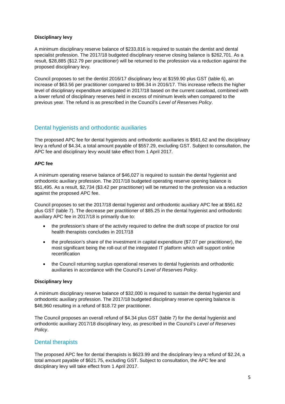#### **Disciplinary levy**

A minimum disciplinary reserve balance of \$233,816 is required to sustain the dentist and dental specialist profession. The 2017/18 budgeted disciplinary reserve closing balance is \$262,701. As a result, \$28,885 (\$12.79 per practitioner) will be returned to the profession via a reduction against the proposed disciplinary levy.

Council proposes to set the dentist 2016/17 disciplinary levy at \$159.90 plus GST (table 6), an increase of \$63.56 per practitioner compared to \$96.34 in 2016/17. This increase reflects the higher level of disciplinary expenditure anticipated in 2017/18 based on the current caseload, combined with a lower refund of disciplinary reserves held in excess of minimum levels when compared to the previous year. The refund is as prescribed in the Council's Level of Reserves Policy.

#### Dental hygienists and orthodontic auxiliaries

The proposed APC fee for dental hygienists and orthodontic auxiliaries is \$561.62 and the disciplinary levy a refund of \$4.34, a total amount payable of \$557.29, excluding GST. Subject to consultation, the APC fee and disciplinary levy would take effect from 1 April 2017.

#### **APC fee**

A minimum operating reserve balance of \$46,027 is required to sustain the dental hygienist and orthodontic auxiliary profession. The 2017/18 budgeted operating reserve opening balance is \$51,495. As a result, \$2,734 (\$3.42 per practitioner) will be returned to the profession via a reduction against the proposed APC fee.

Council proposes to set the 2017/18 dental hygienist and orthodontic auxiliary APC fee at \$561.62 plus GST (table 7). The decrease per practitioner of \$85.25 in the dental hygienist and orthodontic auxiliary APC fee in 2017/18 is primarily due to:

- the profession's share of the activity required to define the draft scope of practice for oral health therapists concludes in 2017/18
- the profession's share of the investment in capital expenditure (\$7.07 per practitioner), the most significant being the roll-out of the integrated IT platform which will support online recertification
- the Council returning surplus operational reserves to dental hygienists and orthodontic auxiliaries in accordance with the Council's Level of Reserves Policy.

#### **Disciplinary levy**

A minimum disciplinary reserve balance of \$32,000 is required to sustain the dental hygienist and orthodontic auxiliary profession. The 2017/18 budgeted disciplinary reserve opening balance is \$46,960 resulting in a refund of \$18.72 per practitioner.

The Council proposes an overall refund of \$4.34 plus GST (table 7) for the dental hygienist and orthodontic auxiliary 2017/18 disciplinary levy, as prescribed in the Council's Level of Reserves Policy.

#### Dental therapists

The proposed APC fee for dental therapists is \$623.99 and the disciplinary levy a refund of \$2.24, a total amount payable of \$621.75, excluding GST. Subject to consultation, the APC fee and disciplinary levy will take effect from 1 April 2017.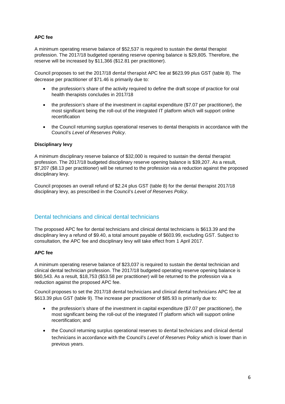#### **APC fee**

A minimum operating reserve balance of \$52,537 is required to sustain the dental therapist profession. The 2017/18 budgeted operating reserve opening balance is \$29,805. Therefore, the reserve will be increased by \$11,366 (\$12.81 per practitioner).

Council proposes to set the 2017/18 dental therapist APC fee at \$623.99 plus GST (table 8). The decrease per practitioner of \$71.46 is primarily due to:

- the profession's share of the activity required to define the draft scope of practice for oral health therapists concludes in 2017/18
- the profession's share of the investment in capital expenditure (\$7.07 per practitioner), the most significant being the roll-out of the integrated IT platform which will support online recertification
- the Council returning surplus operational reserves to dental therapists in accordance with the Council's Level of Reserves Policy.

#### **Disciplinary levy**

A minimum disciplinary reserve balance of \$32,000 is required to sustain the dental therapist profession. The 2017/18 budgeted disciplinary reserve opening balance is \$39,207. As a result, \$7,207 (\$8.13 per practitioner) will be returned to the profession via a reduction against the proposed disciplinary levy.

Council proposes an overall refund of \$2.24 plus GST (table 8) for the dental therapist 2017/18 disciplinary levy, as prescribed in the Council's Level of Reserves Policy.

#### Dental technicians and clinical dental technicians

The proposed APC fee for dental technicians and clinical dental technicians is \$613.39 and the disciplinary levy a refund of \$9.40, a total amount payable of \$603.99, excluding GST. Subject to consultation, the APC fee and disciplinary levy will take effect from 1 April 2017.

#### **APC fee**

A minimum operating reserve balance of \$23,037 is required to sustain the dental technician and clinical dental technician profession. The 2017/18 budgeted operating reserve opening balance is \$60,543. As a result, \$18,753 (\$53.58 per practitioner) will be returned to the profession via a reduction against the proposed APC fee.

Council proposes to set the 2017/18 dental technicians and clinical dental technicians APC fee at \$613.39 plus GST (table 9). The increase per practitioner of \$85.93 is primarily due to:

- the profession's share of the investment in capital expenditure (\$7.07 per practitioner), the most significant being the roll-out of the integrated IT platform which will support online recertification; and
- the Council returning surplus operational reserves to dental technicians and clinical dental technicians in accordance with the Council's Level of Reserves Policy which is lower than in previous years.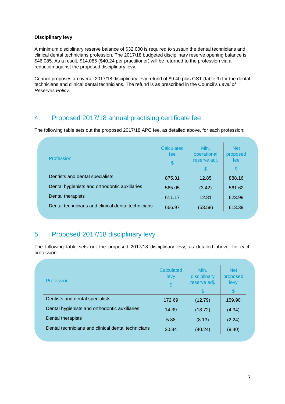#### **Disciplinary levy**

A minimum disciplinary reserve balance of \$32,000 is required to sustain the dental technicians and clinical dental technicians profession. The 2017/18 budgeted disciplinary reserve opening balance is \$46,085. As a result, \$14,085 (\$40.24 per practitioner) will be returned to the profession via a reduction against the proposed disciplinary levy.

Council proposes an overall 2017/18 disciplinary levy refund of \$9.40 plus GST (table 9) for the dental technicians and clinical dental technicians. The refund is as prescribed in the Council's Level of Reserves Policy.

## 4. Proposed 2017/18 annual practising certificate fee

The following table sets out the proposed 2017/18 APC fee, as detailed above, for each profession:

| Profession                                         | Calculated<br>fee<br>$\$\$ | Min.<br>operational<br>reserve adj.<br>\$. | <b>Net</b><br>proposed<br>fee<br>S |
|----------------------------------------------------|----------------------------|--------------------------------------------|------------------------------------|
| Dentists and dental specialists                    | 875.31                     | 12.85                                      | 888.16                             |
| Dental hygienists and orthodontic auxiliaries      | 565.05                     | (3.42)                                     | 561.62                             |
| Dental therapists                                  | 611.17                     | 12.81                                      | 623.99                             |
| Dental technicians and clinical dental technicians | 666.97                     | (53.58)                                    | 613.39                             |
|                                                    |                            |                                            |                                    |

## 5. Proposed 2017/18 disciplinary levy

The following table sets out the proposed 2017/18 disciplinary levy, as detailed above, for each profession:

| Profession                                         | Calculated<br>levy<br>$\frac{1}{2}$ | Min.<br>disciplinary<br>reserve adj.<br>S. | <b>Net</b><br>proposed<br>levy<br>$\boldsymbol{\mathsf{S}}$ |  |
|----------------------------------------------------|-------------------------------------|--------------------------------------------|-------------------------------------------------------------|--|
| Dentists and dental specialists                    | 172.69                              | (12.79)                                    | 159.90                                                      |  |
| Dental hygienists and orthodontic auxiliaries      | 14.39                               | (18.72)                                    | (4.34)                                                      |  |
| Dental therapists                                  | 5.88                                | (8.13)                                     | (2.24)                                                      |  |
| Dental technicians and clinical dental technicians | 30.84                               | (40.24)                                    | (9.40)                                                      |  |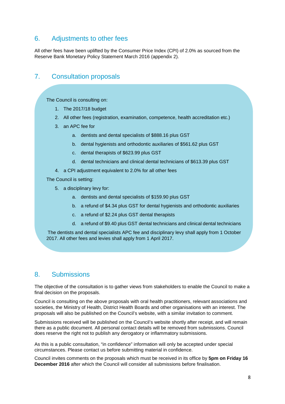## 6. Adjustments to other fees

All other fees have been uplifted by the Consumer Price Index (CPI) of 2.0% as sourced from the Reserve Bank Monetary Policy Statement March 2016 (appendix 2).

## 7. Consultation proposals

The Council is consulting on:

- 1. The 2017/18 budget
- 2. All other fees (registration, examination, competence, health accreditation etc.)
- 3. an APC fee for
	- a. dentists and dental specialists of \$888.16 plus GST
	- b. dental hygienists and orthodontic auxiliaries of \$561.62 plus GST
	- c. dental therapists of \$623.99 plus GST
	- d. dental technicians and clinical dental technicians of \$613.39 plus GST
- 4. a CPI adjustment equivalent to 2.0% for all other fees

The Council is setting:

- 5. a disciplinary levy for:
	- a. dentists and dental specialists of \$159.90 plus GST
	- b. a refund of \$4.34 plus GST for dental hygienists and orthodontic auxiliaries
	- c. a refund of \$2.24 plus GST dental therapists
	- d. a refund of \$9.40 plus GST dental technicians and clinical dental technicians

 The dentists and dental specialists APC fee and disciplinary levy shall apply from 1 October 2017. All other fees and levies shall apply from 1 April 2017.

### 8. Submissions

The objective of the consultation is to gather views from stakeholders to enable the Council to make a final decision on the proposals.

Council is consulting on the above proposals with oral health practitioners, relevant associations and societies, the Ministry of Health, District Health Boards and other organisations with an interest. The proposals will also be published on the Council's website, with a similar invitation to comment.

Submissions received will be published on the Council's website shortly after receipt, and will remain there as a public document. All personal contact details will be removed from submissions. Council does reserve the right not to publish any derogatory or inflammatory submissions.

As this is a public consultation, "in confidence" information will only be accepted under special circumstances. Please contact us before submitting material in confidence.

Council invites comments on the proposals which must be received in its office by **5pm on Friday 16 December 2016** after which the Council will consider all submissions before finalisation.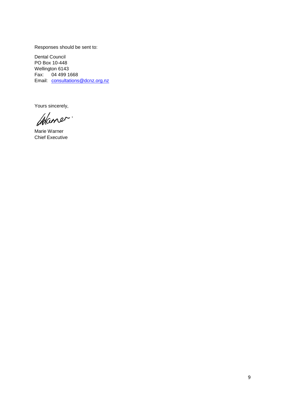Responses should be sent to:

Dental Council PO Box 10-448 Wellington 6143 Fax: 04 499 1668 Email: consultations@dcnz.org.nz

Yours sincerely,

Marie Warner Chief Executive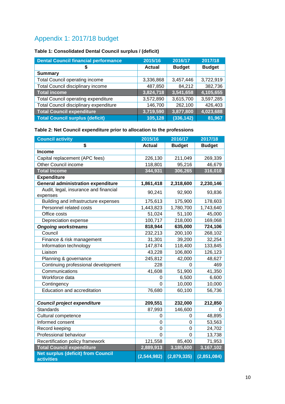## Appendix 1: 2017/18 budget

## **Table 1: Consolidated Dental Council surplus / (deficit)**

| <b>Dental Council financial performance</b> | 2015/16       | 2016/17       | 2017/18       |
|---------------------------------------------|---------------|---------------|---------------|
|                                             | <b>Actual</b> | <b>Budget</b> | <b>Budget</b> |
| <b>Summary</b>                              |               |               |               |
| <b>Total Council operating income</b>       | 3,336,868     | 3,457,446     | 3,722,919     |
| Total Council disciplinary income           | 487,850       | 84,212        | 382,736       |
| Total income                                | 3,824,718     | 3,541,658     | 4,105,655     |
| <b>Total Council operating expenditure</b>  | 3,572,890     | 3,615,700     | 3,597,285     |
| Total Council disciplinary expenditure      | 146,700       | 262,100       | 426,403       |
| Total Council expenditure                   | 3,719,590     | 3,877,800     | 4,023,688     |
| <b>Total Council surplus (deficit)</b>      | 105,128       | (336, 142)    | 81,967        |

#### **Table 2: Net Council expenditure prior to allocation to the professions**

| <b>Council activity</b>                                        | 2015/16        | 2016/17        | 2017/18       |
|----------------------------------------------------------------|----------------|----------------|---------------|
| \$                                                             | <b>Actual</b>  | <b>Budget</b>  | <b>Budget</b> |
| <b>Income</b>                                                  |                |                |               |
| Capital replacement (APC fees)                                 | 226,130        | 211,049        | 269,339       |
| Other Council income                                           | 118,801        | 95,216         | 46,679        |
| <b>Total Income</b>                                            | 344,931        | 306,265        | 316,018       |
| <b>Expenditure</b>                                             |                |                |               |
| <b>General administration expenditure</b>                      | 1,861,418      | 2,318,600      | 2,230,146     |
| Audit, legal, insurance and financial<br>expenses              | 90,241         | 92,900         | 93,836        |
| Building and infrastructure expenses                           | 175,613        | 175,900        | 178,603       |
| Personnel related costs                                        | 1,443,823      | 1,780,700      | 1,743,640     |
| Office costs                                                   | 51,024         | 51,100         | 45,000        |
| Depreciation expense                                           | 100,717        | 218,000        | 169,068       |
| <b>Ongoing workstreams</b>                                     | 818,944        | 635,000        | 724,106       |
| Council                                                        | 232,213        | 200,100        | 268,102       |
| Finance & risk management                                      | 31,301         | 39,200         | 32,254        |
| Information technology                                         | 147,874        | 118,400        | 133,845       |
| Liaison                                                        | 43,228         | 106,800        | 126,123       |
| Planning & governance                                          | 245,812        | 42,000         | 48,627        |
| Continuing professional development                            | 228            | 0              | 469           |
| Communications                                                 | 41,608         | 51,900         | 41,350        |
| Workforce data                                                 | 0              | 6,500          | 6,600         |
| Contingency                                                    | 0              | 10,000         | 10,000        |
| <b>Education and accreditation</b>                             | 76,680         | 60,100         | 56,736        |
|                                                                |                |                |               |
| <b>Council project expenditure</b>                             | 209,551        | 232,000        | 212,850       |
| <b>Standards</b>                                               | 87,993         | 146,600        | O             |
| Cultural competence                                            | 0              | 0              | 48,895        |
| Informed consent                                               | 0              | 0              | 53,563        |
| Record keeping                                                 | $\overline{0}$ | 0              | 24,702        |
| Professional behaviour                                         | 0              | $\overline{0}$ | 13,738        |
| Recertification policy framework                               | 121,558        | 85,400         | 71,953        |
| <b>Total Council expenditure</b>                               | 2,889,913      | 3,185,600      | 3,167,102     |
| <b>Net surplus (deficit) from Council</b><br><b>activities</b> | (2,544,982)    | (2,879,335)    | (2,851,084)   |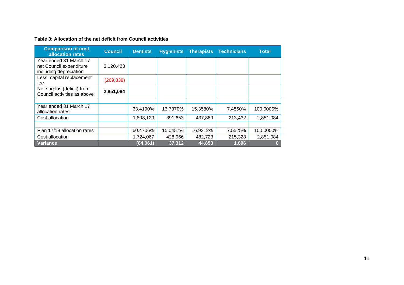| <b>Comparison of cost</b><br>allocation rates                               | <b>Council</b> | <b>Dentists</b> | <b>Hygienists</b> | <b>Therapists</b> | <b>Technicians</b> | <b>Total</b> |
|-----------------------------------------------------------------------------|----------------|-----------------|-------------------|-------------------|--------------------|--------------|
| Year ended 31 March 17<br>net Council expenditure<br>including depreciation | 3,120,423      |                 |                   |                   |                    |              |
| Less: capital replacement<br>fee                                            | (269, 339)     |                 |                   |                   |                    |              |
| Net surplus (deficit) from<br>Council activities as above                   | 2,851,084      |                 |                   |                   |                    |              |
|                                                                             |                |                 |                   |                   |                    |              |
| Year ended 31 March 17<br>allocation rates                                  |                | 63.4190%        | 13.7370%          | 15.3580%          | 7.4860%            | 100.0000%    |
| Cost allocation                                                             |                | 1,808,129       | 391,653           | 437,869           | 213,432            | 2,851,084    |
|                                                                             |                |                 |                   |                   |                    |              |
| Plan 17/18 allocation rates                                                 |                | 60.4706%        | 15.0457%          | 16.9312%          | 7.5525%            | 100.0000%    |
| Cost allocation                                                             |                | 1,724,067       | 428,966           | 482,723           | 215,328            | 2,851,084    |
| Variance                                                                    |                | (84,061)        | 37,312            | 44,853            | 1,896              | 01           |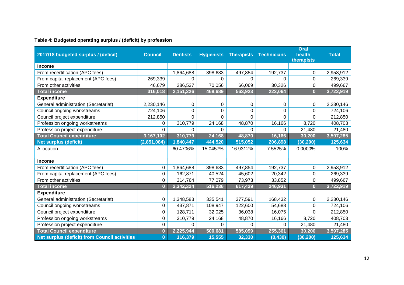#### **Table 4: Budgeted operating surplus / (deficit) by profession**

|                                                      |                |                 |                   |                   |                    | Oral                    |              |
|------------------------------------------------------|----------------|-----------------|-------------------|-------------------|--------------------|-------------------------|--------------|
| 2017/18 budgeted surplus / (deficit)                 | <b>Council</b> | <b>Dentists</b> | <b>Hygienists</b> | <b>Therapists</b> | <b>Technicians</b> | health<br>therapists    | <b>Total</b> |
| <b>Income</b>                                        |                |                 |                   |                   |                    |                         |              |
| From recertification (APC fees)                      |                | 1,864,688       | 398,633           | 497,854           | 192,737            | 0                       | 2,953,912    |
| From capital replacement (APC fees)                  | 269,339        | $\Omega$        | $\Omega$          | 0                 | $\Omega$           | 0                       | 269,339      |
| From other activities                                | 46,679         | 286,537         | 70,056            | 66,069            | 30,326             | 0                       | 499,667      |
| <b>Total income</b>                                  | 316,018        | 2,151,226       | 468,689           | 563,923           | 223,064            | $\overline{\mathbf{0}}$ | 3,722,919    |
| <b>Expenditure</b>                                   |                |                 |                   |                   |                    |                         |              |
| General administration (Secretariat)                 | 2,230,146      | 0               | 0                 | 0                 | 0                  | 0                       | 2,230,146    |
| Council ongoing workstreams                          | 724,106        | $\Omega$        | 0                 | $\Omega$          | 0                  | 0                       | 724,106      |
| Council project expenditure                          | 212,850        | $\Omega$        | $\Omega$          | 0                 | $\Omega$           | 0                       | 212,850      |
| Profession ongoing workstreams                       | 0              | 310,779         | 24,168            | 48,870            | 16,166             | 8,720                   | 408,703      |
| Profession project expenditure                       | 0              | 0               | 0                 | 0                 | 0                  | 21,480                  | 21,480       |
| <b>Total Council expenditure</b>                     | 3,167,102      | 310,779         | 24,168            | 48,870            | 16,166             | 30,200                  | 3,597,285    |
| <b>Net surplus (deficit)</b>                         | (2,851,084)    | 1,840,447       | 444,520           | 515,052           | 206,898            | (30, 200)               | 125,634      |
| Allocation                                           |                | 60.4706%        | 15.0457%          | 16.9312%          | 7.5525%            | 0.0000%                 | 100%         |
|                                                      |                |                 |                   |                   |                    |                         |              |
| <b>Income</b>                                        |                |                 |                   |                   |                    |                         |              |
| From recertification (APC fees)                      | 0              | 1,864,688       | 398,633           | 497,854           | 192,737            | 0                       | 2,953,912    |
| From capital replacement (APC fees)                  | 0              | 162,871         | 40,524            | 45,602            | 20,342             | 0                       | 269,339      |
| From other activities                                | 0              | 314,764         | 77,079            | 73,973            | 33,852             | 0                       | 499,667      |
| <b>Total income</b>                                  | $\bf{0}$       | 2,342,324       | 516,236           | 617,429           | 246,931            | $\overline{\mathbf{0}}$ | 3,722,919    |
| <b>Expenditure</b>                                   |                |                 |                   |                   |                    |                         |              |
| General administration (Secretariat)                 | 0              | 1,348,583       | 335,541           | 377,591           | 168,432            | 0                       | 2,230,146    |
| Council ongoing workstreams                          | 0              | 437,871         | 108,947           | 122,600           | 54,688             | 0                       | 724,106      |
| Council project expenditure                          | 0              | 128,711         | 32,025            | 36,038            | 16,075             | 0                       | 212,850      |
| Profession ongoing workstreams                       | $\mathbf 0$    | 310,779         | 24,168            | 48,870            | 16,166             | 8,720                   | 408,703      |
| Profession project expenditure                       | 0              | $\Omega$        | 0                 | 0                 | $\Omega$           | 21,480                  | 21,480       |
| <b>Total Council expenditure</b>                     | $\bf{0}$       | 2,225,944       | 500,681           | 585,099           | 255,361            | 30,200                  | 3,597,285    |
| <b>Net surplus (deficit) from Council activities</b> | $\bf{0}$       | 116,379         | 15,555            | 32,330            | (8, 430)           | (30, 200)               | 125,634      |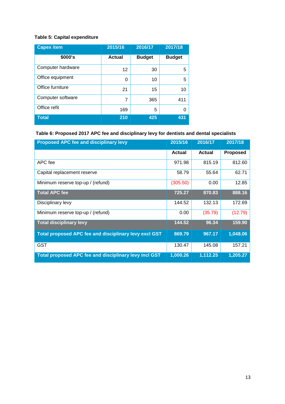## **Table 5: Capital expenditure**

| <b>Capex item</b> | 2015/16       | 2016/17       | 2017/18       |
|-------------------|---------------|---------------|---------------|
| \$000's           | <b>Actual</b> | <b>Budget</b> | <b>Budget</b> |
| Computer hardware | 12            | 30            | 5             |
| Office equipment  | 0             | 10            | 5             |
| Office furniture  | 21            | 15            | 10            |
| Computer software | 7             | 365           | 411           |
| Office refit      | 169           | 5             | 0             |
| <b>Total</b>      | 210           | 425           | 431           |

## **Table 6: Proposed 2017 APC fee and disciplinary levy for dentists and dental specialists**

| <b>Proposed APC fee and disciplinary levy</b>         | 2015/16       | 2016/17       | 2017/18         |
|-------------------------------------------------------|---------------|---------------|-----------------|
|                                                       | <b>Actual</b> | <b>Actual</b> | <b>Proposed</b> |
| APC fee                                               | 971.98        | 815.19        | 812.60          |
| Capital replacement reserve                           | 58.79         | 55.64         | 62.71           |
| Minimum reserve top-up / (refund)                     | (305.50)      | 0.00          | 12.85           |
| <b>Total APC fee</b>                                  | 725.27        | 870.83        | 888.16          |
| Disciplinary levy                                     | 144.52        | 132.13        | 172.69          |
| Minimum reserve top-up / (refund)                     | 0.00          | (35.79)       | (12.79)         |
| <b>Total disciplinary levy</b>                        | 144.52        | 96.34         | 159.90          |
| Total proposed APC fee and disciplinary levy excl GST | 869.79        | 967.17        | 1,048.06        |
| <b>GST</b>                                            | 130.47        | 145.08        | 157.21          |
| Total proposed APC fee and disciplinary levy incl GST | 1,000.26      | 1,112.25      | 1,205.27        |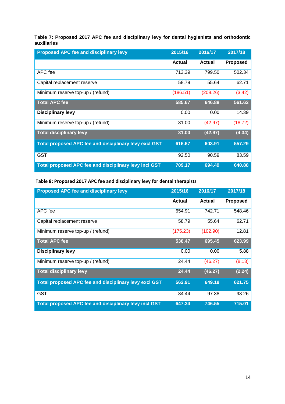#### **Table 7: Proposed 2017 APC fee and disciplinary levy for dental hygienists and orthodontic auxiliaries**

| <b>Proposed APC fee and disciplinary levy</b>                | 2015/16       | 2016/17  | 2017/18         |
|--------------------------------------------------------------|---------------|----------|-----------------|
|                                                              | <b>Actual</b> | Actual   | <b>Proposed</b> |
| APC fee                                                      | 713.39        | 799.50   | 502.34          |
| Capital replacement reserve                                  | 58.79         | 55.64    | 62.71           |
| Minimum reserve top-up / (refund)                            | (186.51)      | (208.26) | (3.42)          |
| <b>Total APC fee</b>                                         | 585.67        | 646.88   | 561.62          |
| <b>Disciplinary levy</b>                                     | 0.00          | 0.00     | 14.39           |
| Minimum reserve top-up / (refund)                            | 31.00         | (42.97)  | (18.72)         |
| <b>Total disciplinary levy</b>                               | 31.00         | (42.97)  | (4.34)          |
| Total proposed APC fee and disciplinary levy excl GST        | 616.67        | 603.91   | 557.29          |
| <b>GST</b>                                                   | 92.50         | 90.59    | 83.59           |
| <b>Total proposed APC fee and disciplinary levy incl GST</b> | 709.17        | 694.49   | 640.88          |

#### Table 8: Proposed 2017 APC fee and disciplinary levy for dental therapists

| <b>Proposed APC fee and disciplinary levy</b>         | 2015/16       | 2016/17  | 2017/18         |
|-------------------------------------------------------|---------------|----------|-----------------|
|                                                       | <b>Actual</b> | Actual   | <b>Proposed</b> |
| APC fee                                               | 654.91        | 742.71   | 548.46          |
| Capital replacement reserve                           | 58.79         | 55.64    | 62.71           |
| Minimum reserve top-up / (refund)                     | (175.23)      | (102.90) | 12.81           |
| <b>Total APC fee</b>                                  | 538.47        | 695.45   | 623.99          |
| <b>Disciplinary levy</b>                              | 0.00          | 0.00     | 5.88            |
| Minimum reserve top-up / (refund)                     | 24.44         | (46.27)  | (8.13)          |
| <b>Total disciplinary levy</b>                        | 24.44         | (46.27)  | (2.24)          |
| Total proposed APC fee and disciplinary levy excl GST | 562.91        | 649.18   | 621.75          |
| <b>GST</b>                                            | 84.44         | 97.38    | 93.26           |
| Total proposed APC fee and disciplinary levy incl GST | 647.34        | 746.55   | 715.01          |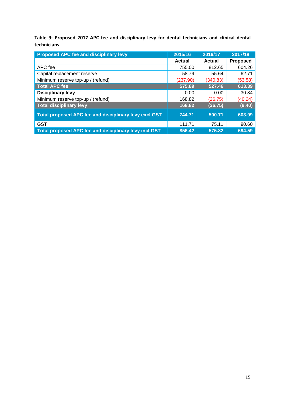Table 9: Proposed 2017 APC fee and disciplinary levy for dental technicians and clinical dental technicians

| <b>Proposed APC fee and disciplinary levy</b>                | 2015/16  | 2016/17  | 2017/18         |
|--------------------------------------------------------------|----------|----------|-----------------|
|                                                              | Actual   | Actual   | <b>Proposed</b> |
| APC fee                                                      | 755.00   | 812.65   | 604.26          |
| Capital replacement reserve                                  | 58.79    | 55.64    | 62.71           |
| Minimum reserve top-up / (refund)                            | (237.90) | (340.83) | (53.58)         |
| <b>Total APC fee</b>                                         | 575.89   | 527.46   | 613.39          |
| <b>Disciplinary levy</b>                                     | 0.00     | 0.00     | 30.84           |
| Minimum reserve top-up / (refund)                            | 168.82   | (26.75)  | (40.24)         |
| <b>Total disciplinary levy</b>                               | 168.82   | (26.75)  | (9.40)          |
| <b>Total proposed APC fee and disciplinary levy excl GST</b> | 744.71   | 500.71   | 603.99          |
| <b>GST</b>                                                   | 111.71   | 75.11    | 90.60           |
| Total proposed APC fee and disciplinary levy incl GST        | 856.42   | 575.82   | 694.59          |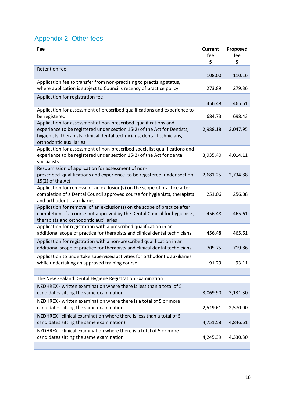## Appendix 2: Other fees

| Fee                                                                                                                                                                                                                                                | <b>Current</b><br>fee<br>\$ | Proposed<br>fee<br>\$ |
|----------------------------------------------------------------------------------------------------------------------------------------------------------------------------------------------------------------------------------------------------|-----------------------------|-----------------------|
| <b>Retention fee</b>                                                                                                                                                                                                                               | 108.00                      | 110.16                |
| Application fee to transfer from non-practising to practising status,<br>where application is subject to Council's recency of practice policy                                                                                                      | 273.89                      | 279.36                |
| Application for registration fee                                                                                                                                                                                                                   | 456.48                      | 465.61                |
| Application for assessment of prescribed qualifications and experience to<br>be registered                                                                                                                                                         | 684.73                      | 698.43                |
| Application for assessment of non-prescribed qualifications and<br>experience to be registered under section 15(2) of the Act for Dentists,<br>hygienists, therapists, clinical dental technicians, dental technicians,<br>orthodontic auxiliaries | 2,988.18                    | 3,047.95              |
| Application for assessment of non-prescribed specialist qualifications and<br>experience to be registered under section 15(2) of the Act for dental<br>specialists                                                                                 | 3,935.40                    | 4,014.11              |
| Resubmission of application for assessment of non-<br>prescribed qualifications and experience to be registered under section<br>15(2) of the Act                                                                                                  | 2,681.25                    | 2,734.88              |
| Application for removal of an exclusion(s) on the scope of practice after<br>completion of a Dental Council approved course for hygienists, therapists<br>and orthodontic auxiliaries                                                              | 251.06                      | 256.08                |
| Application for removal of an exclusion(s) on the scope of practice after<br>completion of a course not approved by the Dental Council for hygienists,<br>therapists and orthodontic auxiliaries                                                   | 456.48                      | 465.61                |
| Application for registration with a prescribed qualification in an<br>additional scope of practice for therapists and clinical dental technicians                                                                                                  | 456.48                      | 465.61                |
| Application for registration with a non-prescribed qualification in an<br>additional scope of practice for therapists and clinical dental technicians                                                                                              | 705.75                      | 719.86                |
| Application to undertake supervised activities for orthodontic auxiliaries<br>while undertaking an approved training course.                                                                                                                       | 91.29                       | 93.11                 |
|                                                                                                                                                                                                                                                    |                             |                       |
| The New Zealand Dental Hygiene Registration Examination                                                                                                                                                                                            |                             |                       |
| NZDHREX - written examination where there is less than a total of 5<br>candidates sitting the same examination                                                                                                                                     | 3,069.90                    | 3,131.30              |
| NZDHREX - written examination where there is a total of 5 or more<br>candidates sitting the same examination                                                                                                                                       | 2,519.61                    | 2,570.00              |
| NZDHREX - clinical examination where there is less than a total of 5<br>candidates sitting the same examination)                                                                                                                                   | 4,751.58                    | 4,846.61              |
| NZDHREX - clinical examination where there is a total of 5 or more<br>candidates sitting the same examination                                                                                                                                      | 4,245.39                    | 4,330.30              |
|                                                                                                                                                                                                                                                    |                             |                       |
|                                                                                                                                                                                                                                                    |                             |                       |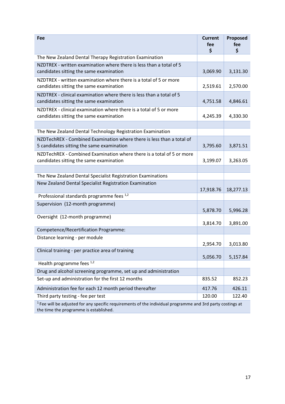| Fee                                                                                                                                                    | <b>Current</b><br>fee<br>\$ | Proposed<br>fee<br>\$ |  |
|--------------------------------------------------------------------------------------------------------------------------------------------------------|-----------------------------|-----------------------|--|
| The New Zealand Dental Therapy Registration Examination                                                                                                |                             |                       |  |
| NZDTREX - written examination where there is less than a total of 5<br>candidates sitting the same examination                                         | 3,069.90                    | 3,131.30              |  |
| NZDTREX - written examination where there is a total of 5 or more<br>candidates sitting the same examination                                           | 2,519.61                    | 2,570.00              |  |
| NZDTREX - clinical examination where there is less than a total of 5<br>candidates sitting the same examination                                        | 4,751.58                    | 4,846.61              |  |
| NZDTREX - clinical examination where there is a total of 5 or more<br>candidates sitting the same examination                                          | 4,245.39                    | 4,330.30              |  |
|                                                                                                                                                        |                             |                       |  |
| The New Zealand Dental Technology Registration Examination                                                                                             |                             |                       |  |
| NZDTechREX - Combined Examination where there is less than a total of<br>5 candidates sitting the same examination                                     | 3,795.60                    | 3,871.51              |  |
| NZDTechREX - Combined Examination where there is a total of 5 or more<br>candidates sitting the same examination                                       | 3,199.07                    | 3,263.05              |  |
|                                                                                                                                                        |                             |                       |  |
| The New Zealand Dental Specialist Registration Examinations                                                                                            |                             |                       |  |
| New Zealand Dental Specialist Registration Examination                                                                                                 | 17,918.76                   | 18,277.13             |  |
| Professional standards programme fees 1,2                                                                                                              |                             |                       |  |
| Supervision (12-month programme)                                                                                                                       | 5,878.70                    | 5,996.28              |  |
| Oversight (12-month programme)                                                                                                                         | 3,814.70                    | 3,891.00              |  |
| Competence/Recertification Programme:                                                                                                                  |                             |                       |  |
| Distance learning - per module                                                                                                                         |                             |                       |  |
|                                                                                                                                                        | 2,954.70                    | 3,013.80              |  |
| Clinical training - per practice area of training                                                                                                      | 5,056.70                    | 5,157.84              |  |
| Health programme fees $^{1,2}$                                                                                                                         |                             |                       |  |
| Drug and alcohol screening programme, set up and administration                                                                                        |                             |                       |  |
| Set-up and administration for the first 12 months                                                                                                      | 835.52                      | 852.23                |  |
| Administration fee for each 12 month period thereafter                                                                                                 | 417.76                      | 426.11                |  |
| Third party testing - fee per test                                                                                                                     | 120.00                      | 122.40                |  |
| $1$ Fee will be adjusted for any specific requirements of the individual programme and 3rd party costings at<br>the time the programme is established. |                             |                       |  |